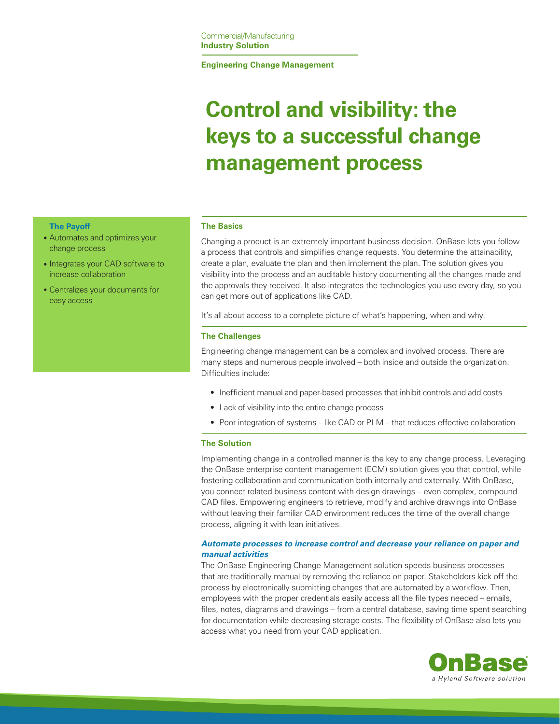## **Engineering Change Management**

# **Control and visibility: the keys to a successful change management process**

## **The Payoff**

- Automates and optimizes your change process
- Integrates your CAD software to increase collaboration
- Centralizes your documents for easy access

## **The Basics**

Changing a product is an extremely important business decision. OnBase lets you follow a process that controls and simplifies change requests. You determine the attainability, create a plan, evaluate the plan and then implement the plan. The solution gives you visibility into the process and an auditable history documenting all the changes made and the approvals they received. It also integrates the technologies you use every day, so you can get more out of applications like CAD.

It's all about access to a complete picture of what's happening, when and why.

## **The Challenges**

Engineering change management can be a complex and involved process. There are many steps and numerous people involved – both inside and outside the organization. Difficulties include:

- • Inefficient manual and paper-based processes that inhibit controls and add costs
- Lack of visibility into the entire change process
- Poor integration of systems like CAD or PLM that reduces effective collaboration

#### **The Solution**

Implementing change in a controlled manner is the key to any change process. Leveraging the OnBase enterprise content management (ECM) solution gives you that control, while fostering collaboration and communication both internally and externally. With OnBase, you connect related business content with design drawings – even complex, compound CAD files. Empowering engineers to retrieve, modify and archive drawings into OnBase without leaving their familiar CAD environment reduces the time of the overall change process, aligning it with lean initiatives.

# *Automate processes to increase control and decrease your reliance on paper and manual activities*

The OnBase Engineering Change Management solution speeds business processes that are traditionally manual by removing the reliance on paper. Stakeholders kick off the process by electronically submitting changes that are automated by a workflow. Then, employees with the proper credentials easily access all the file types needed – emails, files, notes, diagrams and drawings – from a central database, saving time spent searching for documentation while decreasing storage costs. The flexibility of OnBase also lets you access what you need from your CAD application.